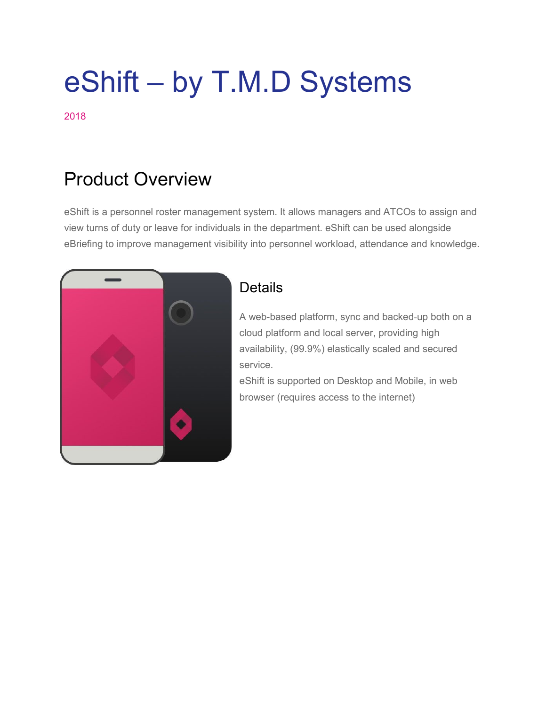# eShift – by T.M.D Systems

2018

# Product Overview

eShift is a personnel roster management system. It allows managers and ATCOs to assign and view turns of duty or leave for individuals in the department. eShift can be used alongside eBriefing to improve management visibility into personnel workload, attendance and knowledge.



### **Details**

A web-based platform, sync and backed-up both on a cloud platform and local server, providing high availability, (99.9%) elastically scaled and secured service.

eShift is supported on Desktop and Mobile, in web browser (requires access to the internet)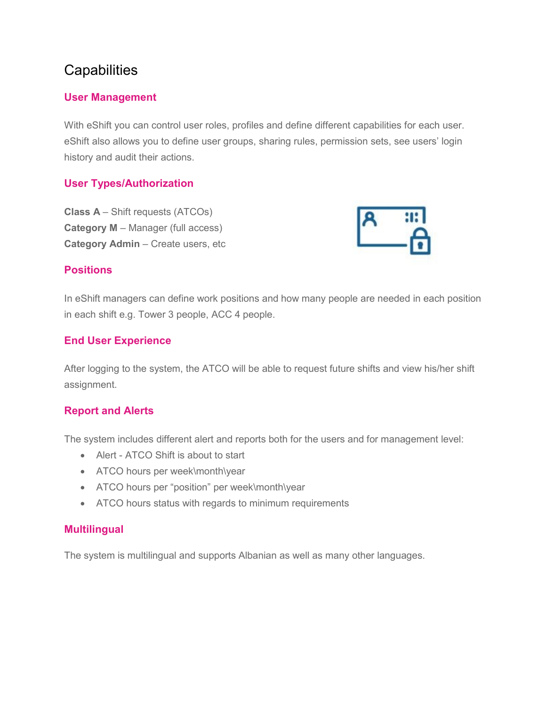## **Capabilities**

#### **User Management**

With eShift you can control user roles, profiles and define different capabilities for each user. eShift also allows you to define user groups, sharing rules, permission sets, see users' login history and audit their actions.

#### **User Types/Authorization**

**Class A** – Shift requests (ATCOs) **Category M** – Manager (full access) **Category Admin** – Create users, etc



#### **Positions**

In eShift managers can define work positions and how many people are needed in each position in each shift e.g. Tower 3 people, ACC 4 people.

#### **End User Experience**

After logging to the system, the ATCO will be able to request future shifts and view his/her shift assignment.

#### **Report and Alerts**

The system includes different alert and reports both for the users and for management level:

- Alert ATCO Shift is about to start
- ATCO hours per week\month\year
- ATCO hours per "position" per week\month\year
- ATCO hours status with regards to minimum requirements

#### **Multilingual**

The system is multilingual and supports Albanian as well as many other languages.